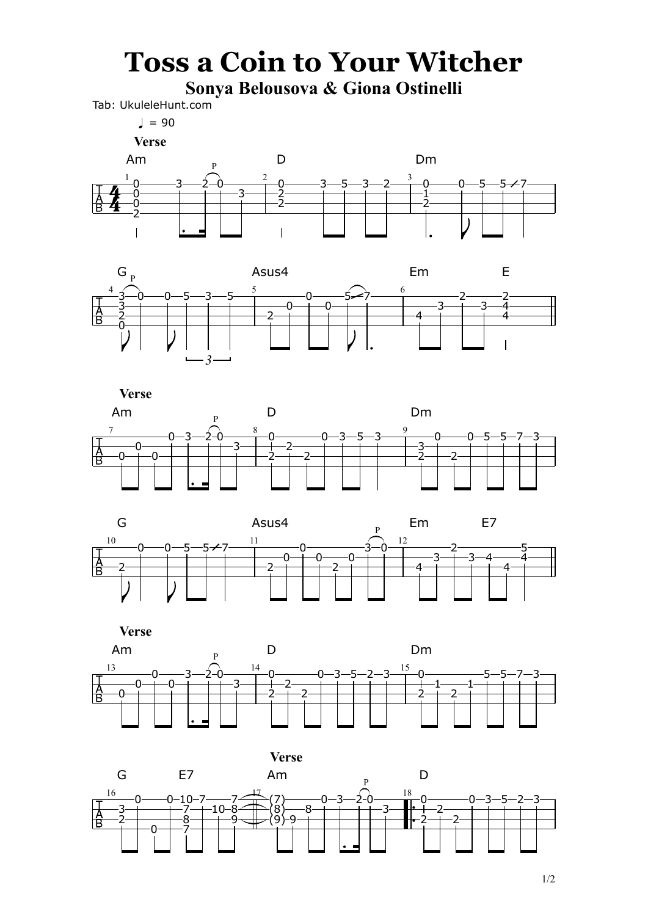## **Toss a Coin to Your Witcher**

**Sonya Belousova & Giona Ostinelli**

Tab: UkuleleHunt.com

 $\sqrt{ }$  = 90

1/2



 **Verse**









 **Verse**